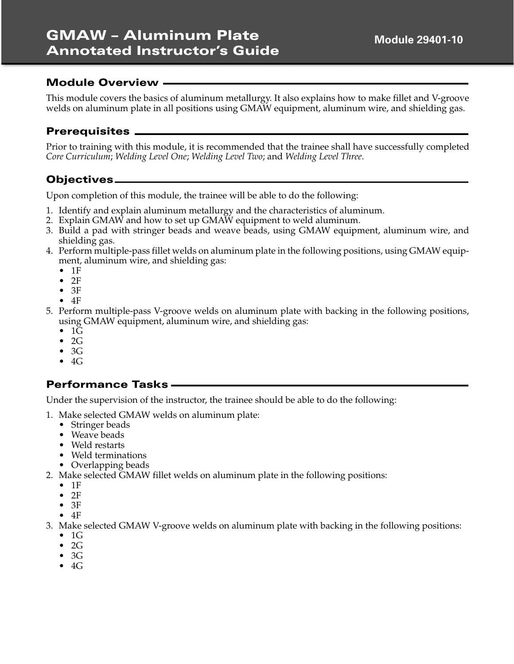This module covers the basics of aluminum metallurgy. It also explains how to make fillet and V-groove welds on aluminum plate in all positions using GMAW equipment, aluminum wire, and shielding gas.

# **Prerequisites**

Prior to training with this module, it is recommended that the trainee shall have successfully completed *Core Curriculum*; *Welding Level One*; *Welding Level Two*; and *Welding Level Three*.

# **Objectives**

Upon completion of this module, the trainee will be able to do the following:

- 1. Identify and explain aluminum metallurgy and the characteristics of aluminum.
- 2. Explain GMAW and how to set up GMAW equipment to weld aluminum.
- 3. Build a pad with stringer beads and weave beads, using GMAW equipment, aluminum wire, and shielding gas.
- 4. Perform multiple-pass fillet welds on aluminum plate in the following positions, using GMAW equipment, aluminum wire, and shielding gas:
	- $•$  1F
	- $•$  2F
	- $•$  3F
	- $-4F$
- 5. Perform multiple-pass V-groove welds on aluminum plate with backing in the following positions, using GMAW equipment, aluminum wire, and shielding gas:
	- $\bullet$  1 $\overline{G}$
	- 2G
	- 3G
	- $4G$

# **Performance Tasks**

Under the supervision of the instructor, the trainee should be able to do the following:

- 1. Make selected GMAW welds on aluminum plate:
	- Stringer beads
	- Weave beads
	- Weld restarts
	- Weld terminations
	- Overlapping beads
- 2. Make selected GMAW fillet welds on aluminum plate in the following positions:
	- 1F
	- $\bullet$  2F
	- 3F
	- $\bullet$  4F
- 3. Make selected GMAW V-groove welds on aluminum plate with backing in the following positions:
	- 1G
	- 2G
	- 3G
	- $\bullet$  4G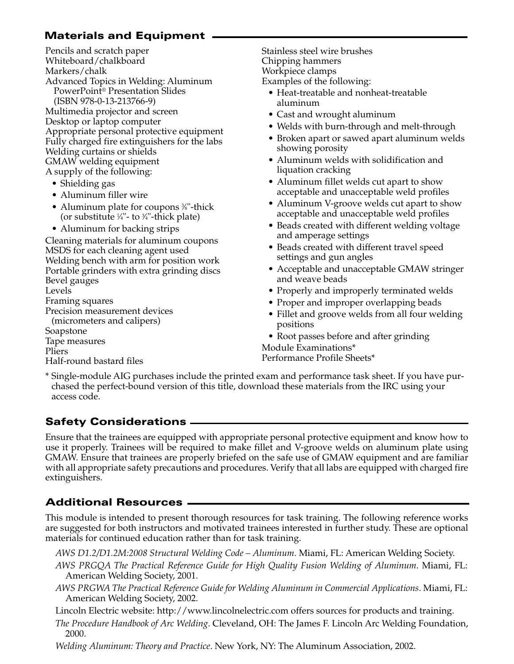# **Materials and Equipment**

Pencils and scratch paper Whiteboard/chalkboard Markers/chalk Advanced Topics in Welding: Aluminum PowerPoint® Presentation Slides (ISBN 978-0-13-213766-9) Multimedia projector and screen Desktop or laptop computer Appropriate personal protective equipment Fully charged fire extinguishers for the labs Welding curtains or shields GMAW welding equipment A supply of the following:

- Shielding gas
- Aluminum filler wire
- Aluminum plate for coupons <sup>3%</sup>"-thick (or substitute  $\frac{1}{4}$ "- to  $\frac{3}{4}$ "-thick plate)
- Aluminum for backing strips

Cleaning materials for aluminum coupons MSDS for each cleaning agent used Welding bench with arm for position work Portable grinders with extra grinding discs Bevel gauges Levels Framing squares Precision measurement devices (micrometers and calipers) Soapstone Tape measures Pliers Half-round bastard files

Stainless steel wire brushes Chipping hammers Workpiece clamps Examples of the following:

- Heat-treatable and nonheat-treatable aluminum
- Cast and wrought aluminum
- Welds with burn-through and melt-through
- Broken apart or sawed apart aluminum welds showing porosity
- Aluminum welds with solidification and liquation cracking
- Aluminum fillet welds cut apart to show acceptable and unacceptable weld profiles
- Aluminum V-groove welds cut apart to show acceptable and unacceptable weld profiles
- Beads created with different welding voltage and amperage settings
- Beads created with different travel speed settings and gun angles
- Acceptable and unacceptable GMAW stringer and weave beads
- Properly and improperly terminated welds
- Proper and improper overlapping beads
- Fillet and groove welds from all four welding positions
- Root passes before and after grinding

Module Examinations\* Performance Profile Sheets\*

\* Single-module AIG purchases include the printed exam and performance task sheet. If you have purchased the perfect-bound version of this title, download these materials from the IRC using your access code.

# **Safety Considerations**

Ensure that the trainees are equipped with appropriate personal protective equipment and know how to use it properly. Trainees will be required to make fillet and V-groove welds on aluminum plate using GMAW. Ensure that trainees are properly briefed on the safe use of GMAW equipment and are familiar with all appropriate safety precautions and procedures. Verify that all labs are equipped with charged fire extinguishers.

# **Additional Resources**

This module is intended to present thorough resources for task training. The following reference works are suggested for both instructors and motivated trainees interested in further study. These are optional materials for continued education rather than for task training.

*AWS D1.2/D1.2M:2008 Structural Welding Code – Aluminum*. Miami, FL: American Welding Society.

- *AWS PRGQA The Practical Reference Guide for High Quality Fusion Welding of Aluminum*. Miami, FL: American Welding Society, 2001.
- *AWS PRGWA The Practical Reference Guide for Welding Aluminum in Commercial Applications*. Miami, FL: American Welding Society, 2002.
- Lincoln Electric website: http://www.lincolnelectric.com offers sources for products and training.
- *The Procedure Handbook of Arc Welding*. Cleveland, OH: The James F. Lincoln Arc Welding Foundation, 2000.
- *Welding Aluminum: Theory and Practice*. New York, NY: The Aluminum Association, 2002.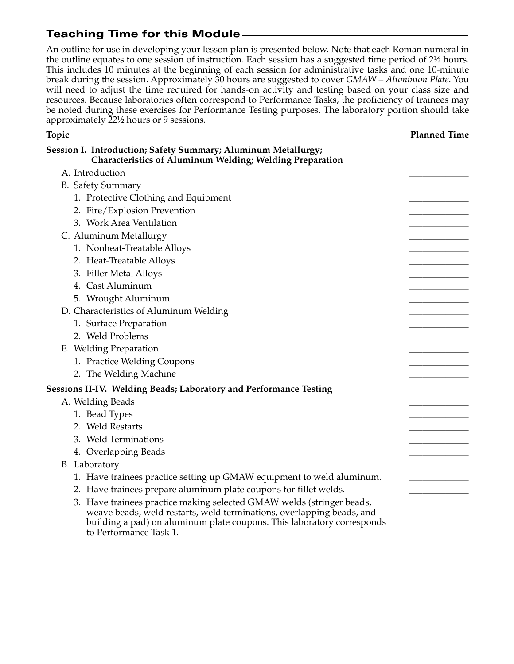to Performance Task 1.

An outline for use in developing your lesson plan is presented below. Note that each Roman numeral in the outline equates to one session of instruction. Each session has a suggested time period of 2½ hours. This includes 10 minutes at the beginning of each session for administrative tasks and one 10-minute break during the session. Approximately 30 hours are suggested to cover *GMAW – Aluminum Plate*. You will need to adjust the time required for hands-on activity and testing based on your class size and resources. Because laboratories often correspond to Performance Tasks, the proficiency of trainees may be noted during these exercises for Performance Testing purposes. The laboratory portion should take approximately 22½ hours or 9 sessions.

| Topic                                                                                                                                           | <b>Planned Time</b> |
|-------------------------------------------------------------------------------------------------------------------------------------------------|---------------------|
| Session I. Introduction; Safety Summary; Aluminum Metallurgy;<br><b>Characteristics of Aluminum Welding; Welding Preparation</b>                |                     |
| A. Introduction                                                                                                                                 |                     |
| <b>B.</b> Safety Summary                                                                                                                        |                     |
| 1. Protective Clothing and Equipment                                                                                                            |                     |
| 2. Fire/Explosion Prevention                                                                                                                    |                     |
| 3. Work Area Ventilation                                                                                                                        |                     |
| C. Aluminum Metallurgy                                                                                                                          |                     |
| 1. Nonheat-Treatable Alloys                                                                                                                     |                     |
| 2. Heat-Treatable Alloys                                                                                                                        |                     |
| 3. Filler Metal Alloys                                                                                                                          |                     |
| 4. Cast Aluminum                                                                                                                                |                     |
| 5. Wrought Aluminum                                                                                                                             |                     |
| D. Characteristics of Aluminum Welding                                                                                                          |                     |
| 1. Surface Preparation                                                                                                                          |                     |
| 2. Weld Problems                                                                                                                                |                     |
| E. Welding Preparation                                                                                                                          |                     |
| 1. Practice Welding Coupons                                                                                                                     |                     |
| 2. The Welding Machine                                                                                                                          |                     |
| <b>Sessions II-IV. Welding Beads; Laboratory and Performance Testing</b>                                                                        |                     |
| A. Welding Beads                                                                                                                                |                     |
| 1. Bead Types                                                                                                                                   |                     |
| 2. Weld Restarts                                                                                                                                |                     |
| 3. Weld Terminations                                                                                                                            |                     |
| 4. Overlapping Beads                                                                                                                            |                     |
| B. Laboratory                                                                                                                                   |                     |
| 1. Have trainees practice setting up GMAW equipment to weld aluminum.                                                                           |                     |
| 2. Have trainees prepare aluminum plate coupons for fillet welds.                                                                               |                     |
| 3. Have trainees practice making selected GMAW welds (stringer beads,                                                                           |                     |
| weave beads, weld restarts, weld terminations, overlapping beads, and<br>building a pad) on aluminum plate coupons. This laboratory corresponds |                     |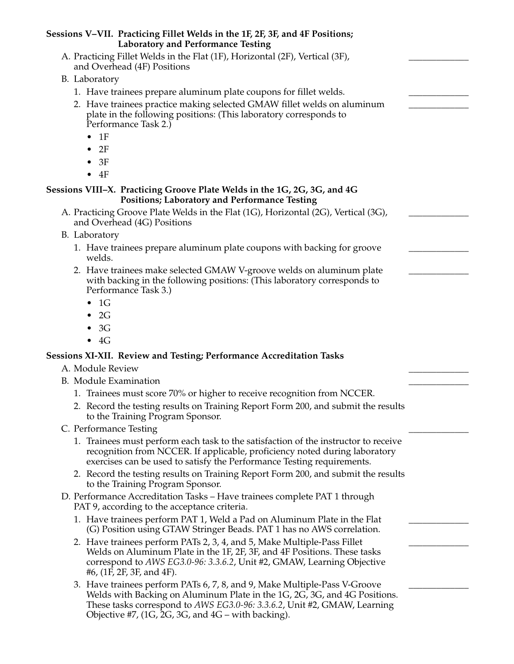| Sessions V–VII. Practicing Fillet Welds in the 1F, 2F, 3F, and 4F Positions;<br><b>Laboratory and Performance Testing</b>                                                                                                                                                                    |  |
|----------------------------------------------------------------------------------------------------------------------------------------------------------------------------------------------------------------------------------------------------------------------------------------------|--|
| A. Practicing Fillet Welds in the Flat (1F), Horizontal (2F), Vertical (3F),<br>and Overhead (4F) Positions                                                                                                                                                                                  |  |
| B. Laboratory                                                                                                                                                                                                                                                                                |  |
| 1. Have trainees prepare aluminum plate coupons for fillet welds.                                                                                                                                                                                                                            |  |
| 2. Have trainees practice making selected GMAW fillet welds on aluminum<br>plate in the following positions: (This laboratory corresponds to<br>Performance Task 2.)<br>1F<br>$\bullet$                                                                                                      |  |
| 2F<br>$\bullet$                                                                                                                                                                                                                                                                              |  |
| 3F                                                                                                                                                                                                                                                                                           |  |
| 4F<br>$\bullet$                                                                                                                                                                                                                                                                              |  |
| Sessions VIII–X. Practicing Groove Plate Welds in the 1G, 2G, 3G, and 4G<br><b>Positions; Laboratory and Performance Testing</b>                                                                                                                                                             |  |
| A. Practicing Groove Plate Welds in the Flat (1G), Horizontal (2G), Vertical (3G),<br>and Overhead (4G) Positions                                                                                                                                                                            |  |
| B. Laboratory                                                                                                                                                                                                                                                                                |  |
| 1. Have trainees prepare aluminum plate coupons with backing for groove<br>welds.                                                                                                                                                                                                            |  |
| 2. Have trainees make selected GMAW V-groove welds on aluminum plate<br>with backing in the following positions: (This laboratory corresponds to<br>Performance Task 3.)                                                                                                                     |  |
| 1G<br>$\bullet$                                                                                                                                                                                                                                                                              |  |
| 2G<br>$\bullet$                                                                                                                                                                                                                                                                              |  |
| 3G<br>$\bullet$                                                                                                                                                                                                                                                                              |  |
| $\bullet$ 4G                                                                                                                                                                                                                                                                                 |  |
| <b>Sessions XI-XII. Review and Testing; Performance Accreditation Tasks</b>                                                                                                                                                                                                                  |  |
| A. Module Review                                                                                                                                                                                                                                                                             |  |
| <b>B.</b> Module Examination                                                                                                                                                                                                                                                                 |  |
| 1. Trainees must score 70% or higher to receive recognition from NCCER.                                                                                                                                                                                                                      |  |
| 2. Record the testing results on Training Report Form 200, and submit the results<br>to the Training Program Sponsor.                                                                                                                                                                        |  |
| C. Performance Testing                                                                                                                                                                                                                                                                       |  |
| 1. Trainees must perform each task to the satisfaction of the instructor to receive<br>recognition from NCCER. If applicable, proficiency noted during laboratory<br>exercises can be used to satisfy the Performance Testing requirements.                                                  |  |
| 2. Record the testing results on Training Report Form 200, and submit the results<br>to the Training Program Sponsor.                                                                                                                                                                        |  |
| D. Performance Accreditation Tasks - Have trainees complete PAT 1 through<br>PAT 9, according to the acceptance criteria.                                                                                                                                                                    |  |
| 1. Have trainees perform PAT 1, Weld a Pad on Aluminum Plate in the Flat<br>(G) Position using GTAW Stringer Beads. PAT 1 has no AWS correlation.                                                                                                                                            |  |
| 2. Have trainees perform PATs 2, 3, 4, and 5, Make Multiple-Pass Fillet<br>Welds on Aluminum Plate in the 1F, 2F, 3F, and 4F Positions. These tasks<br>correspond to AWS EG3.0-96: 3.3.6.2, Unit #2, GMAW, Learning Objective<br>#6, (1F, 2F, 3F, and 4F).                                   |  |
| 3. Have trainees perform PATs 6, 7, 8, and 9, Make Multiple-Pass V-Groove<br>Welds with Backing on Aluminum Plate in the 1G, 2G, 3G, and 4G Positions.<br>These tasks correspond to AWS EG3.0-96: 3.3.6.2, Unit #2, GMAW, Learning<br>Objective #7, $(1G, 2G, 3G,$ and $4G$ – with backing). |  |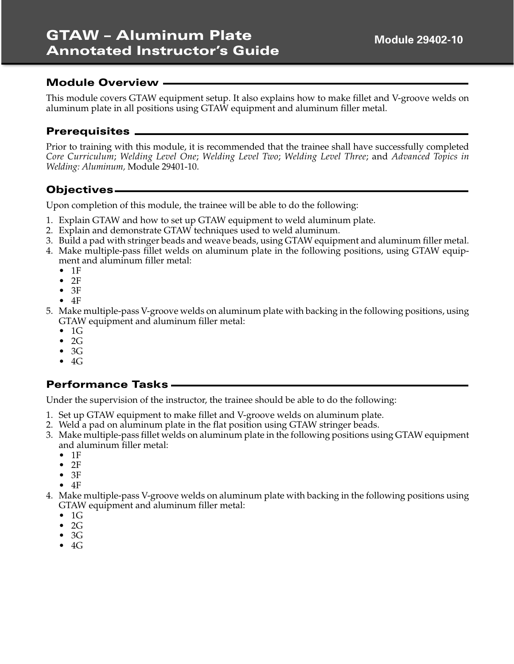This module covers GTAW equipment setup. It also explains how to make fillet and V-groove welds on aluminum plate in all positions using GTAW equipment and aluminum filler metal.

### **Prerequisites**

Prior to training with this module, it is recommended that the trainee shall have successfully completed *Core Curriculum*; *Welding Level One*; *Welding Level Two*; *Welding Level Three*; and *Advanced Topics in Welding: Aluminum,* Module 29401-10.

# **Objectives**

Upon completion of this module, the trainee will be able to do the following:

- 1. Explain GTAW and how to set up GTAW equipment to weld aluminum plate.
- 2. Explain and demonstrate GTAW techniques used to weld aluminum.
- 3. Build a pad with stringer beads and weave beads, using GTAW equipment and aluminum filler metal.
- 4. Make multiple-pass fillet welds on aluminum plate in the following positions, using GTAW equipment and aluminum filler metal:
	- 1F
	- $•$  2F
	- $•$  3F
	- $•$   $4F$
- 5. Make multiple-pass V-groove welds on aluminum plate with backing in the following positions, using GTAW equipment and aluminum filler metal:
	- $\bullet$  1G
	- 2G
	- 3G
	- $-4G$

#### **Performance Tasks**

Under the supervision of the instructor, the trainee should be able to do the following:

- 1. Set up GTAW equipment to make fillet and V-groove welds on aluminum plate.
- 2. Weld a pad on aluminum plate in the flat position using GTAW stringer beads.
- 3. Make multiple-pass fillet welds on aluminum plate in the following positions using GTAW equipment and aluminum filler metal:
	- $•$  1F
	- 2F
	- $•$  3F
	- $\bullet$  4F
- 4. Make multiple-pass V-groove welds on aluminum plate with backing in the following positions using GTAW equipment and aluminum filler metal:
	- $\bullet$  1G
	- 2G
	- 3G
	- $\bullet$  4G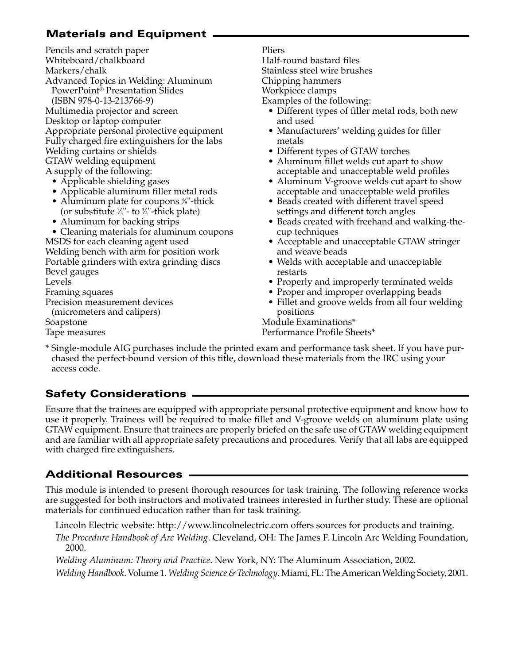# **Materials and Equipment**

Pencils and scratch paper Whiteboard/chalkboard Markers/chalk Advanced Topics in Welding: Aluminum PowerPoint® Presentation Slides (ISBN 978-0-13-213766-9) Multimedia projector and screen Desktop or laptop computer Appropriate personal protective equipment Fully charged fire extinguishers for the labs Welding curtains or shields GTAW welding equipment A supply of the following:

- Applicable shielding gases
- Applicable aluminum filler metal rods
- Aluminum plate for coupons <sup>3</sup>/<sub>8</sub>"-thick (or substitute  $\frac{1}{4}$ "- to  $\frac{3}{4}$ "-thick plate)
- Aluminum for backing strips

• Cleaning materials for aluminum coupons MSDS for each cleaning agent used Welding bench with arm for position work Portable grinders with extra grinding discs Bevel gauges Levels Framing squares Precision measurement devices (micrometers and calipers)

Soapstone Tape measures Pliers Half-round bastard files Stainless steel wire brushes Chipping hammers Workpiece clamps Examples of the following:

- Different types of filler metal rods, both new and used
- Manufacturers' welding guides for filler metals
- Different types of GTAW torches
- Aluminum fillet welds cut apart to show acceptable and unacceptable weld profiles
- Aluminum V-groove welds cut apart to show acceptable and unacceptable weld profiles
- Beads created with different travel speed settings and different torch angles
- Beads created with freehand and walking-thecup techniques
- Acceptable and unacceptable GTAW stringer and weave beads
- Welds with acceptable and unacceptable restarts
- Properly and improperly terminated welds
- Proper and improper overlapping beads
- Fillet and groove welds from all four welding positions

Module Examinations\* Performance Profile Sheets\*

\* Single-module AIG purchases include the printed exam and performance task sheet. If you have purchased the perfect-bound version of this title, download these materials from the IRC using your access code.

# **Safety Considerations**

Ensure that the trainees are equipped with appropriate personal protective equipment and know how to use it properly. Trainees will be required to make fillet and V-groove welds on aluminum plate using GTAW equipment. Ensure that trainees are properly briefed on the safe use of GTAW welding equipment and are familiar with all appropriate safety precautions and procedures. Verify that all labs are equipped with charged fire extinguishers.

# **Additional Resources**

This module is intended to present thorough resources for task training. The following reference works are suggested for both instructors and motivated trainees interested in further study. These are optional materials for continued education rather than for task training.

Lincoln Electric website: http://www.lincolnelectric.com offers sources for products and training.

*The Procedure Handbook of Arc Welding*. Cleveland, OH: The James F. Lincoln Arc Welding Foundation, 2000.

*Welding Aluminum: Theory and Practice*. New York, NY: The Aluminum Association, 2002.

*Welding Handbook*. Volume 1. *Welding Science & Technology*. Miami, FL: The American Welding Society, 2001.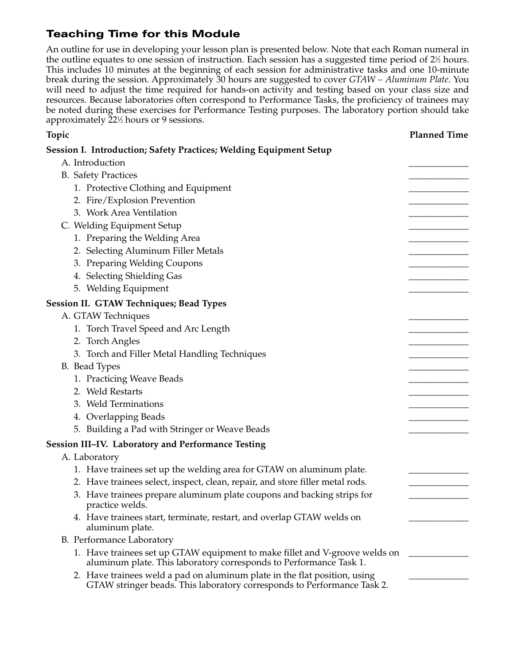An outline for use in developing your lesson plan is presented below. Note that each Roman numeral in the outline equates to one session of instruction. Each session has a suggested time period of  $2\%$  hours. This includes 10 minutes at the beginning of each session for administrative tasks and one 10-minute break during the session. Approximately 30 hours are suggested to cover *GTAW – Aluminum Plate*. You will need to adjust the time required for hands-on activity and testing based on your class size and resources. Because laboratories often correspond to Performance Tasks, the proficiency of trainees may be noted during these exercises for Performance Testing purposes. The laboratory portion should take approximately 221 ⁄2 hours or 9 sessions.

# **Topic Planned Time Session I. Introduction; Safety Practices; Welding Equipment Setup**  A. Introduction B. Safety Practices 1. Protective Clothing and Equipment 2. Fire/Explosion Prevention 3. Work Area Ventilation C. Welding Equipment Setup 1. Preparing the Welding Area 2. Selecting Aluminum Filler Metals 3. Preparing Welding Coupons 4. Selecting Shielding Gas 5. Welding Equipment **Session II. GTAW Techniques; Bead Types** A. GTAW Techniques 1. Torch Travel Speed and Arc Length 2. Torch Angles 3. Torch and Filler Metal Handling Techniques B. Bead Types 1. Practicing Weave Beads 2. Weld Restarts 3. Weld Terminations 4. Overlapping Beads 5. Building a Pad with Stringer or Weave Beads **Session III–IV. Laboratory and Performance Testing** A. Laboratory 1. Have trainees set up the welding area for GTAW on aluminum plate. 2. Have trainees select, inspect, clean, repair, and store filler metal rods. 3. Have trainees prepare aluminum plate coupons and backing strips for practice welds. 4. Have trainees start, terminate, restart, and overlap GTAW welds on aluminum plate. B. Performance Laboratory 1. Have trainees set up GTAW equipment to make fillet and V-groove welds on \_\_\_\_\_\_\_\_\_\_ aluminum plate. This laboratory corresponds to Performance Task 1. 2. Have trainees weld a pad on aluminum plate in the flat position, using GTAW stringer beads. This laboratory corresponds to Performance Task 2.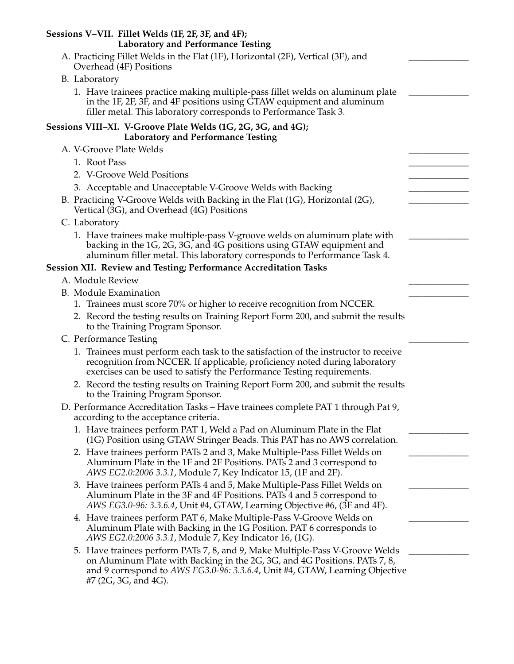| Sessions V-VII. Fillet Welds (1F, 2F, 3F, and 4F);<br><b>Laboratory and Performance Testing</b>                                                                                                                                                                    |  |
|--------------------------------------------------------------------------------------------------------------------------------------------------------------------------------------------------------------------------------------------------------------------|--|
| A. Practicing Fillet Welds in the Flat (1F), Horizontal (2F), Vertical (3F), and<br>Overhead (4F) Positions                                                                                                                                                        |  |
| B. Laboratory                                                                                                                                                                                                                                                      |  |
| 1. Have trainees practice making multiple-pass fillet welds on aluminum plate<br>in the 1F, 2F, 3F, and 4F positions using GTAW equipment and aluminum<br>filler metal. This laboratory corresponds to Performance Task 3.                                         |  |
| Sessions VIII–XI. V-Groove Plate Welds (1G, 2G, 3G, and 4G);<br><b>Laboratory and Performance Testing</b>                                                                                                                                                          |  |
| A. V-Groove Plate Welds                                                                                                                                                                                                                                            |  |
| 1. Root Pass                                                                                                                                                                                                                                                       |  |
| 2. V-Groove Weld Positions                                                                                                                                                                                                                                         |  |
| 3. Acceptable and Unacceptable V-Groove Welds with Backing                                                                                                                                                                                                         |  |
| B. Practicing V-Groove Welds with Backing in the Flat (1G), Horizontal (2G),<br>Vertical (3G), and Overhead (4G) Positions                                                                                                                                         |  |
| C. Laboratory                                                                                                                                                                                                                                                      |  |
| 1. Have trainees make multiple-pass V-groove welds on aluminum plate with<br>backing in the 1G, 2G, 3G, and 4G positions using GTAW equipment and<br>aluminum filler metal. This laboratory corresponds to Performance Task 4.                                     |  |
| Session XII. Review and Testing; Performance Accreditation Tasks                                                                                                                                                                                                   |  |
| A. Module Review                                                                                                                                                                                                                                                   |  |
| <b>B.</b> Module Examination                                                                                                                                                                                                                                       |  |
| 1. Trainees must score 70% or higher to receive recognition from NCCER.                                                                                                                                                                                            |  |
| 2. Record the testing results on Training Report Form 200, and submit the results<br>to the Training Program Sponsor.                                                                                                                                              |  |
| C. Performance Testing                                                                                                                                                                                                                                             |  |
| 1. Trainees must perform each task to the satisfaction of the instructor to receive<br>recognition from NCCER. If applicable, proficiency noted during laboratory<br>exercises can be used to satisfy the Performance Testing requirements.                        |  |
| 2. Record the testing results on Training Report Form 200, and submit the results<br>to the Training Program Sponsor.                                                                                                                                              |  |
| D. Performance Accreditation Tasks - Have trainees complete PAT 1 through Pat 9,<br>according to the acceptance criteria.                                                                                                                                          |  |
| 1. Have trainees perform PAT 1, Weld a Pad on Aluminum Plate in the Flat<br>(1G) Position using GTAW Stringer Beads. This PAT has no AWS correlation.                                                                                                              |  |
| 2. Have trainees perform PATs 2 and 3, Make Multiple-Pass Fillet Welds on<br>Aluminum Plate in the 1F and 2F Positions. PATs 2 and 3 correspond to<br>AWS EG2.0:2006 3.3.1, Module 7, Key Indicator 15, (1F and 2F).                                               |  |
| 3. Have trainees perform PATs 4 and 5, Make Multiple-Pass Fillet Welds on<br>Aluminum Plate in the 3F and 4F Positions. PATs 4 and 5 correspond to<br>AWS EG3.0-96: 3.3.6.4, Unit #4, GTAW, Learning Objective #6, (3F and 4F).                                    |  |
| 4. Have trainees perform PAT 6, Make Multiple-Pass V-Groove Welds on<br>Aluminum Plate with Backing in the 1G Position. PAT 6 corresponds to<br>AWS EG2.0:2006 3.3.1, Module 7, Key Indicator 16, (1G).                                                            |  |
| 5. Have trainees perform PATs 7, 8, and 9, Make Multiple-Pass V-Groove Welds<br>on Aluminum Plate with Backing in the 2G, 3G, and 4G Positions. PATs 7, 8,<br>and 9 correspond to AWS EG3.0-96: 3.3.6.4, Unit #4, GTAW, Learning Objective<br>#7 (2G, 3G, and 4G). |  |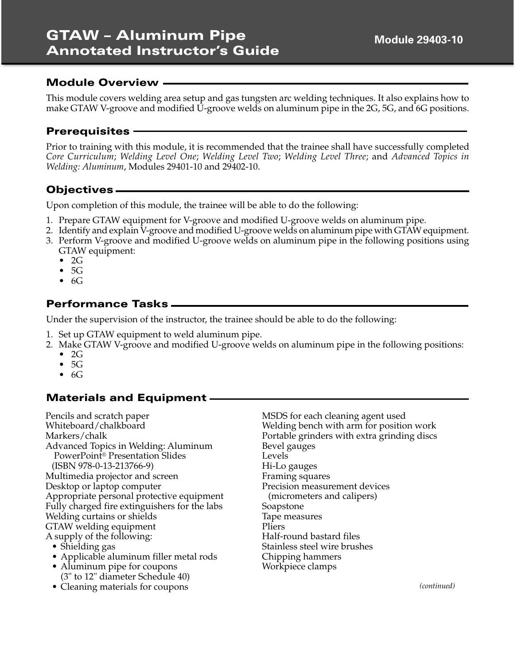This module covers welding area setup and gas tungsten arc welding techniques. It also explains how to make GTAW V-groove and modified U-groove welds on aluminum pipe in the 2G, 5G, and 6G positions.

### **Prerequisites**

Prior to training with this module, it is recommended that the trainee shall have successfully completed *Core Curriculum*; *Welding Level One*; *Welding Level Two*; *Welding Level Three*; and *Advanced Topics in Welding: Aluminum*, Modules 29401-10 and 29402-10.

# **Objectives**

Upon completion of this module, the trainee will be able to do the following:

- 1. Prepare GTAW equipment for V-groove and modified U-groove welds on aluminum pipe.
- 2. Identify and explain V-groove and modified U-groove welds on aluminum pipe with GTAW equipment.
- 3. Perform V-groove and modified U-groove welds on aluminum pipe in the following positions using GTAW equipment:
	- $\bullet$  2G
	- $\bullet$  5G
	- $\bullet$  6G

## **Performance Tasks**

Under the supervision of the instructor, the trainee should be able to do the following:

- 1. Set up GTAW equipment to weld aluminum pipe.
- 2. Make GTAW V-groove and modified U-groove welds on aluminum pipe in the following positions:
	- $\bullet$  2G
	- $\bullet$  5G
	- $\bullet$  6G

# **Materials and Equipment**

Pencils and scratch paper Whiteboard/chalkboard Markers/chalk Advanced Topics in Welding: Aluminum PowerPoint® Presentation Slides (ISBN 978-0-13-213766-9) Multimedia projector and screen Desktop or laptop computer Appropriate personal protective equipment Fully charged fire extinguishers for the labs Welding curtains or shields GTAW welding equipment A supply of the following: • Shielding gas

• Applicable aluminum filler metal rods

- Aluminum pipe for coupons (3" to 12" diameter Schedule 40)
- Cleaning materials for coupons

MSDS for each cleaning agent used Welding bench with arm for position work Portable grinders with extra grinding discs Bevel gauges Levels Hi-Lo gauges Framing squares Precision measurement devices (micrometers and calipers) Soapstone Tape measures Pliers Half-round bastard files Stainless steel wire brushes Chipping hammers Workpiece clamps

*(continued)*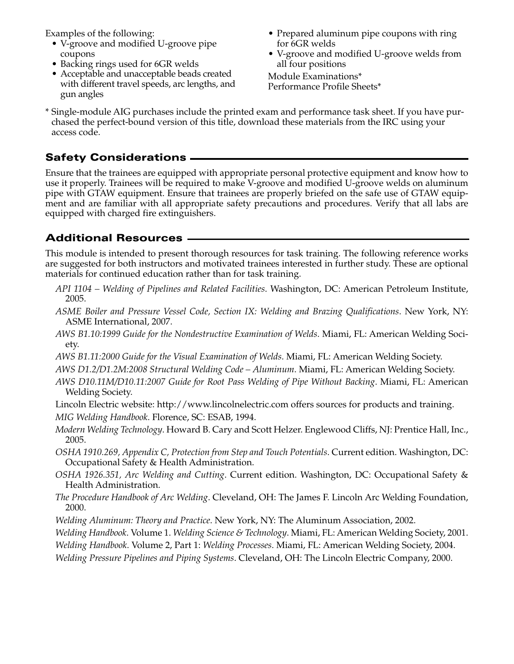Examples of the following:

- V-groove and modified U-groove pipe coupons
- Backing rings used for 6GR welds
- Acceptable and unacceptable beads created with different travel speeds, arc lengths, and gun angles
- Prepared aluminum pipe coupons with ring for 6GR welds
- V-groove and modified U-groove welds from all four positions

Module Examinations\* Performance Profile Sheets\*

\* Single-module AIG purchases include the printed exam and performance task sheet. If you have purchased the perfect-bound version of this title, download these materials from the IRC using your access code.

# **Safety Considerations**

Ensure that the trainees are equipped with appropriate personal protective equipment and know how to use it properly. Trainees will be required to make V-groove and modified U-groove welds on aluminum pipe with GTAW equipment. Ensure that trainees are properly briefed on the safe use of GTAW equipment and are familiar with all appropriate safety precautions and procedures. Verify that all labs are equipped with charged fire extinguishers.

# **Additional Resources**

This module is intended to present thorough resources for task training. The following reference works are suggested for both instructors and motivated trainees interested in further study. These are optional materials for continued education rather than for task training.

- *API 1104 Welding of Pipelines and Related Facilities*. Washington, DC: American Petroleum Institute, 2005.
- *ASME Boiler and Pressure Vessel Code, Section IX: Welding and Brazing Qualifications*. New York, NY: ASME International, 2007.
- *AWS B1.10:1999 Guide for the Nondestructive Examination of Welds*. Miami, FL: American Welding Society.
- *AWS B1.11:2000 Guide for the Visual Examination of Welds*. Miami, FL: American Welding Society.
- *AWS D1.2/D1.2M:2008 Structural Welding Code Aluminum*. Miami, FL: American Welding Society.

*AWS D10.11M/D10.11:2007 Guide for Root Pass Welding of Pipe Without Backing*. Miami, FL: American Welding Society.

- Lincoln Electric website: http://www.lincolnelectric.com offers sources for products and training. *MIG Welding Handbook*. Florence, SC: ESAB, 1994.
- *Modern Welding Technology*. Howard B. Cary and Scott Helzer. Englewood Cliffs, NJ: Prentice Hall, Inc., 2005.
- *OSHA 1910.269, Appendix C, Protection from Step and Touch Potentials*. Current edition. Washington, DC: Occupational Safety & Health Administration.
- *OSHA 1926.351, Arc Welding and Cutting*. Current edition. Washington, DC: Occupational Safety & Health Administration.
- *The Procedure Handbook of Arc Welding*. Cleveland, OH: The James F. Lincoln Arc Welding Foundation, 2000.
- *Welding Aluminum: Theory and Practice*. New York, NY: The Aluminum Association, 2002.
- *Welding Handbook*. Volume 1. *Welding Science & Technology*. Miami, FL: American Welding Society, 2001.
- *Welding Handbook*. Volume 2, Part 1: *Welding Processes*. Miami, FL: American Welding Society, 2004.
- *Welding Pressure Pipelines and Piping Systems*. Cleveland, OH: The Lincoln Electric Company, 2000.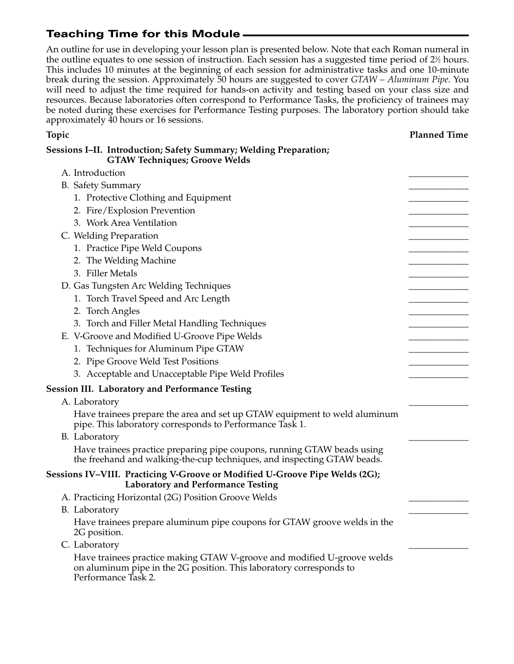An outline for use in developing your lesson plan is presented below. Note that each Roman numeral in the outline equates to one session of instruction. Each session has a suggested time period of  $2\%$  hours. This includes 10 minutes at the beginning of each session for administrative tasks and one 10-minute break during the session. Approximately 50 hours are suggested to cover *GTAW – Aluminum Pipe*. You will need to adjust the time required for hands-on activity and testing based on your class size and resources. Because laboratories often correspond to Performance Tasks, the proficiency of trainees may be noted during these exercises for Performance Testing purposes. The laboratory portion should take approximately 40 hours or 16 sessions.

#### **Topic Planned Time**

| Sessions I–II. Introduction; Safety Summary; Welding Preparation;<br><b>GTAW Techniques; Groove Welds</b>                                                             |  |
|-----------------------------------------------------------------------------------------------------------------------------------------------------------------------|--|
| A. Introduction                                                                                                                                                       |  |
| <b>B.</b> Safety Summary                                                                                                                                              |  |
| 1. Protective Clothing and Equipment                                                                                                                                  |  |
| 2. Fire/Explosion Prevention                                                                                                                                          |  |
| 3. Work Area Ventilation                                                                                                                                              |  |
| C. Welding Preparation                                                                                                                                                |  |
| 1. Practice Pipe Weld Coupons                                                                                                                                         |  |
| 2. The Welding Machine                                                                                                                                                |  |
| 3. Filler Metals                                                                                                                                                      |  |
| D. Gas Tungsten Arc Welding Techniques                                                                                                                                |  |
| 1. Torch Travel Speed and Arc Length                                                                                                                                  |  |
| 2. Torch Angles                                                                                                                                                       |  |
| 3. Torch and Filler Metal Handling Techniques                                                                                                                         |  |
| E. V-Groove and Modified U-Groove Pipe Welds                                                                                                                          |  |
| 1. Techniques for Aluminum Pipe GTAW                                                                                                                                  |  |
| 2. Pipe Groove Weld Test Positions                                                                                                                                    |  |
| 3. Acceptable and Unacceptable Pipe Weld Profiles                                                                                                                     |  |
| <b>Session III. Laboratory and Performance Testing</b>                                                                                                                |  |
| A. Laboratory                                                                                                                                                         |  |
| Have trainees prepare the area and set up GTAW equipment to weld aluminum<br>pipe. This laboratory corresponds to Performance Task 1.                                 |  |
| B. Laboratory                                                                                                                                                         |  |
| Have trainees practice preparing pipe coupons, running GTAW beads using<br>the freehand and walking-the-cup techniques, and inspecting GTAW beads.                    |  |
| Sessions IV–VIII. Practicing V-Groove or Modified U-Groove Pipe Welds (2G);<br><b>Laboratory and Performance Testing</b>                                              |  |
| A. Practicing Horizontal (2G) Position Groove Welds                                                                                                                   |  |
| B. Laboratory                                                                                                                                                         |  |
| Have trainees prepare aluminum pipe coupons for GTAW groove welds in the<br>2G position.                                                                              |  |
| C. Laboratory                                                                                                                                                         |  |
| Have trainees practice making GTAW V-groove and modified U-groove welds<br>on aluminum pipe in the 2G position. This laboratory corresponds to<br>Performance Task 2. |  |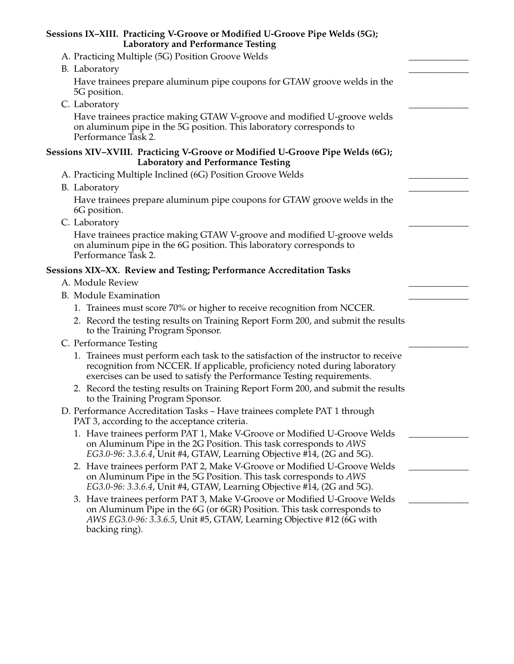| Sessions IX-XIII. Practicing V-Groove or Modified U-Groove Pipe Welds (5G);<br><b>Laboratory and Performance Testing</b>                                                                                                                      |  |
|-----------------------------------------------------------------------------------------------------------------------------------------------------------------------------------------------------------------------------------------------|--|
| A. Practicing Multiple (5G) Position Groove Welds                                                                                                                                                                                             |  |
| B. Laboratory                                                                                                                                                                                                                                 |  |
| Have trainees prepare aluminum pipe coupons for GTAW groove welds in the<br>5G position.                                                                                                                                                      |  |
| C. Laboratory                                                                                                                                                                                                                                 |  |
| Have trainees practice making GTAW V-groove and modified U-groove welds<br>on aluminum pipe in the 5G position. This laboratory corresponds to<br>Performance Task 2.                                                                         |  |
| Sessions XIV-XVIII. Practicing V-Groove or Modified U-Groove Pipe Welds (6G);<br><b>Laboratory and Performance Testing</b>                                                                                                                    |  |
| A. Practicing Multiple Inclined (6G) Position Groove Welds                                                                                                                                                                                    |  |
| B. Laboratory                                                                                                                                                                                                                                 |  |
| Have trainees prepare aluminum pipe coupons for GTAW groove welds in the<br>6G position.                                                                                                                                                      |  |
| C. Laboratory                                                                                                                                                                                                                                 |  |
| Have trainees practice making GTAW V-groove and modified U-groove welds<br>on aluminum pipe in the 6G position. This laboratory corresponds to<br>Performance Task 2.                                                                         |  |
| Sessions XIX-XX. Review and Testing; Performance Accreditation Tasks                                                                                                                                                                          |  |
| A. Module Review                                                                                                                                                                                                                              |  |
| <b>B.</b> Module Examination                                                                                                                                                                                                                  |  |
| 1. Trainees must score 70% or higher to receive recognition from NCCER.                                                                                                                                                                       |  |
| 2. Record the testing results on Training Report Form 200, and submit the results<br>to the Training Program Sponsor.                                                                                                                         |  |
| C. Performance Testing                                                                                                                                                                                                                        |  |
| 1. Trainees must perform each task to the satisfaction of the instructor to receive<br>recognition from NCCER. If applicable, proficiency noted during laboratory<br>exercises can be used to satisfy the Performance Testing requirements.   |  |
| 2. Record the testing results on Training Report Form 200, and submit the results<br>to the Training Program Sponsor.                                                                                                                         |  |
| D. Performance Accreditation Tasks – Have trainees complete PAT 1 through<br>PAT 3, according to the acceptance criteria.                                                                                                                     |  |
| 1. Have trainees perform PAT 1, Make V-Groove or Modified U-Groove Welds<br>on Aluminum Pipe in the 2G Position. This task corresponds to AWS<br>EG3.0-96: 3.3.6.4, Unit #4, GTAW, Learning Objective #14, (2G and 5G).                       |  |
| 2. Have trainees perform PAT 2, Make V-Groove or Modified U-Groove Welds<br>on Aluminum Pipe in the 5G Position. This task corresponds to AWS<br>EG3.0-96: 3.3.6.4, Unit #4, GTAW, Learning Objective #14, (2G and 5G).                       |  |
| 3. Have trainees perform PAT 3, Make V-Groove or Modified U-Groove Welds<br>on Aluminum Pipe in the 6G (or 6GR) Position. This task corresponds to<br>AWS EG3.0-96: 3.3.6.5, Unit #5, GTAW, Learning Objective #12 (6G with<br>backing ring). |  |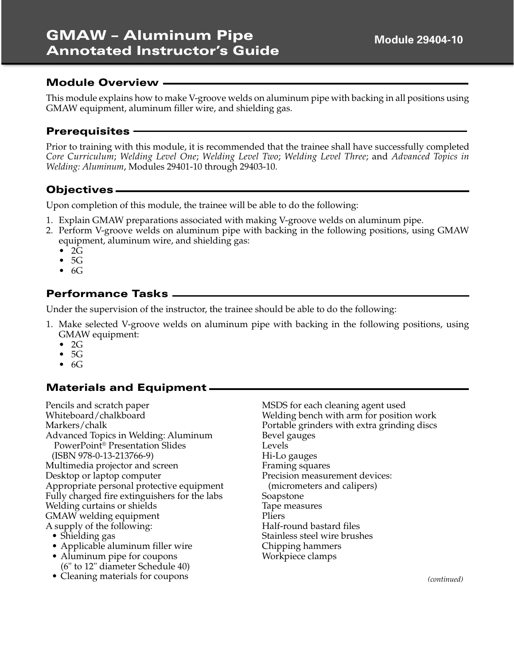This module explains how to make V-groove welds on aluminum pipe with backing in all positions using GMAW equipment, aluminum filler wire, and shielding gas.

### **Prerequisites**

Prior to training with this module, it is recommended that the trainee shall have successfully completed *Core Curriculum*; *Welding Level One*; *Welding Level Two*; *Welding Level Three*; and *Advanced Topics in Welding: Aluminum*, Modules 29401-10 through 29403-10.

# **Objectives**

Upon completion of this module, the trainee will be able to do the following:

- 1. Explain GMAW preparations associated with making V-groove welds on aluminum pipe.
- 2. Perform V-groove welds on aluminum pipe with backing in the following positions, using GMAW equipment, aluminum wire, and shielding gas:
	- $\bullet$  2 $\overline{G}$
	- 5G
	- $\bullet$  6G

# **Performance Tasks**

Under the supervision of the instructor, the trainee should be able to do the following:

- 1. Make selected V-groove welds on aluminum pipe with backing in the following positions, using GMAW equipment:
	- $\bullet$  2G
	- 5G
	- 6G

# **Materials and Equipment**

Pencils and scratch paper Whiteboard/chalkboard Markers/chalk Advanced Topics in Welding: Aluminum PowerPoint® Presentation Slides (ISBN 978-0-13-213766-9) Multimedia projector and screen Desktop or laptop computer Appropriate personal protective equipment Fully charged fire extinguishers for the labs Welding curtains or shields GMAW welding equipment A supply of the following: • Shielding gas

- Applicable aluminum filler wire
- Aluminum pipe for coupons (6" to 12" diameter Schedule 40)
- Cleaning materials for coupons

MSDS for each cleaning agent used Welding bench with arm for position work Portable grinders with extra grinding discs Bevel gauges Levels Hi-Lo gauges Framing squares Precision measurement devices: (micrometers and calipers) Soapstone Tape measures Pliers Half-round bastard files Stainless steel wire brushes Chipping hammers Workpiece clamps

*(continued)*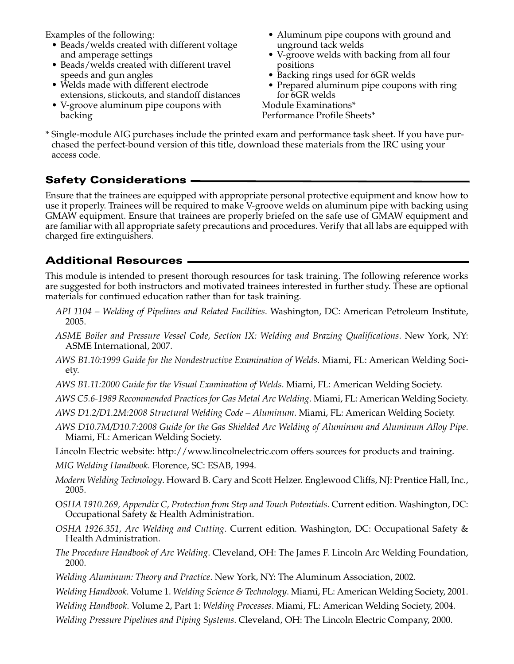Examples of the following:

- Beads/welds created with different voltage and amperage settings
- Beads/welds created with different travel speeds and gun angles
- Welds made with different electrode extensions, stickouts, and standoff distances
- V-groove aluminum pipe coupons with backing
- Aluminum pipe coupons with ground and unground tack welds
- V-groove welds with backing from all four positions
- Backing rings used for 6GR welds
- Prepared aluminum pipe coupons with ring for 6GR welds

Module Examinations\* Performance Profile Sheets\*

\* Single-module AIG purchases include the printed exam and performance task sheet. If you have purchased the perfect-bound version of this title, download these materials from the IRC using your access code.

# **Safety Considerations**

Ensure that the trainees are equipped with appropriate personal protective equipment and know how to use it properly. Trainees will be required to make V-groove welds on aluminum pipe with backing using GMAW equipment. Ensure that trainees are properly briefed on the safe use of GMAW equipment and are familiar with all appropriate safety precautions and procedures. Verify that all labs are equipped with charged fire extinguishers.

# **Additional Resources**

This module is intended to present thorough resources for task training. The following reference works are suggested for both instructors and motivated trainees interested in further study. These are optional materials for continued education rather than for task training.

- *API 1104 Welding of Pipelines and Related Facilities*. Washington, DC: American Petroleum Institute, 2005.
- *ASME Boiler and Pressure Vessel Code, Section IX: Welding and Brazing Qualifications*. New York, NY: ASME International, 2007.
- *AWS B1.10:1999 Guide for the Nondestructive Examination of Welds*. Miami, FL: American Welding Society.
- *AWS B1.11:2000 Guide for the Visual Examination of Welds*. Miami, FL: American Welding Society.
- *AWS C5.6-1989 Recommended Practices for Gas Metal Arc Welding*. Miami, FL: American Welding Society.
- *AWS D1.2/D1.2M:2008 Structural Welding Code Aluminum*. Miami, FL: American Welding Society.
- *AWS D10.7M/D10.7:2008 Guide for the Gas Shielded Arc Welding of Aluminum and Aluminum Alloy Pipe*. Miami, FL: American Welding Society.
- Lincoln Electric website: http://www.lincolnelectric.com offers sources for products and training.
- *MIG Welding Handbook*. Florence, SC: ESAB, 1994.
- *Modern Welding Technology*. Howard B. Cary and Scott Helzer. Englewood Cliffs, NJ: Prentice Hall, Inc., 2005.
- O*SHA 1910.269, Appendix C, Protection from Step and Touch Potentials*. Current edition. Washington, DC: Occupational Safety & Health Administration.
- *OSHA 1926.351, Arc Welding and Cutting*. Current edition. Washington, DC: Occupational Safety & Health Administration.
- *The Procedure Handbook of Arc Welding*. Cleveland, OH: The James F. Lincoln Arc Welding Foundation, 2000.
- *Welding Aluminum: Theory and Practice*. New York, NY: The Aluminum Association, 2002.

*Welding Handbook*. Volume 1. *Welding Science & Technology*. Miami, FL: American Welding Society, 2001.

- *Welding Handbook*. Volume 2, Part 1: *Welding Processes*. Miami, FL: American Welding Society, 2004.
- *Welding Pressure Pipelines and Piping Systems*. Cleveland, OH: The Lincoln Electric Company, 2000.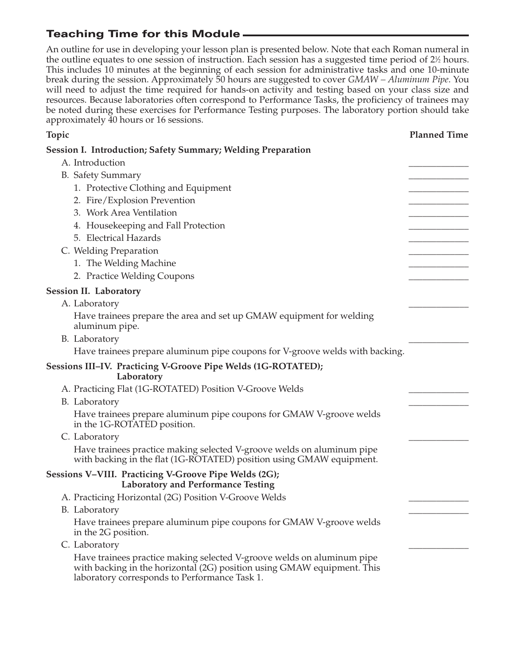An outline for use in developing your lesson plan is presented below. Note that each Roman numeral in the outline equates to one session of instruction. Each session has a suggested time period of  $2\%$  hours. This includes 10 minutes at the beginning of each session for administrative tasks and one 10-minute break during the session. Approximately 50 hours are suggested to cover *GMAW – Aluminum Pipe*. You will need to adjust the time required for hands-on activity and testing based on your class size and resources. Because laboratories often correspond to Performance Tasks, the proficiency of trainees may be noted during these exercises for Performance Testing purposes. The laboratory portion should take approximately 40 hours or 16 sessions.

| Topic                                                                                                                                                                                              | <b>Planned Time</b> |
|----------------------------------------------------------------------------------------------------------------------------------------------------------------------------------------------------|---------------------|
| <b>Session I. Introduction; Safety Summary; Welding Preparation</b>                                                                                                                                |                     |
| A. Introduction                                                                                                                                                                                    |                     |
| <b>B.</b> Safety Summary                                                                                                                                                                           |                     |
| 1. Protective Clothing and Equipment                                                                                                                                                               |                     |
| 2. Fire/Explosion Prevention                                                                                                                                                                       |                     |
| 3. Work Area Ventilation                                                                                                                                                                           |                     |
| 4. Housekeeping and Fall Protection                                                                                                                                                                |                     |
| 5. Electrical Hazards                                                                                                                                                                              |                     |
| C. Welding Preparation                                                                                                                                                                             |                     |
| 1. The Welding Machine                                                                                                                                                                             |                     |
| 2. Practice Welding Coupons                                                                                                                                                                        |                     |
| <b>Session II. Laboratory</b>                                                                                                                                                                      |                     |
| A. Laboratory                                                                                                                                                                                      |                     |
| Have trainees prepare the area and set up GMAW equipment for welding<br>aluminum pipe.                                                                                                             |                     |
| B. Laboratory                                                                                                                                                                                      |                     |
| Have trainees prepare aluminum pipe coupons for V-groove welds with backing.                                                                                                                       |                     |
| Sessions III-IV. Practicing V-Groove Pipe Welds (1G-ROTATED);<br>Laboratory                                                                                                                        |                     |
| A. Practicing Flat (1G-ROTATED) Position V-Groove Welds                                                                                                                                            |                     |
| B. Laboratory                                                                                                                                                                                      |                     |
| Have trainees prepare aluminum pipe coupons for GMAW V-groove welds<br>in the 1G-ROTATED position.                                                                                                 |                     |
| C. Laboratory                                                                                                                                                                                      |                     |
| Have trainees practice making selected V-groove welds on aluminum pipe<br>with backing in the flat (1G-ROTATED) position using GMAW equipment.                                                     |                     |
| Sessions V-VIII. Practicing V-Groove Pipe Welds (2G);<br><b>Laboratory and Performance Testing</b>                                                                                                 |                     |
| A. Practicing Horizontal (2G) Position V-Groove Welds                                                                                                                                              |                     |
| B. Laboratory                                                                                                                                                                                      |                     |
| Have trainees prepare aluminum pipe coupons for GMAW V-groove welds<br>in the 2G position.                                                                                                         |                     |
| C. Laboratory                                                                                                                                                                                      |                     |
| Have trainees practice making selected V-groove welds on aluminum pipe<br>with backing in the horizontal (2G) position using GMAW equipment. This<br>laboratory corresponds to Performance Task 1. |                     |